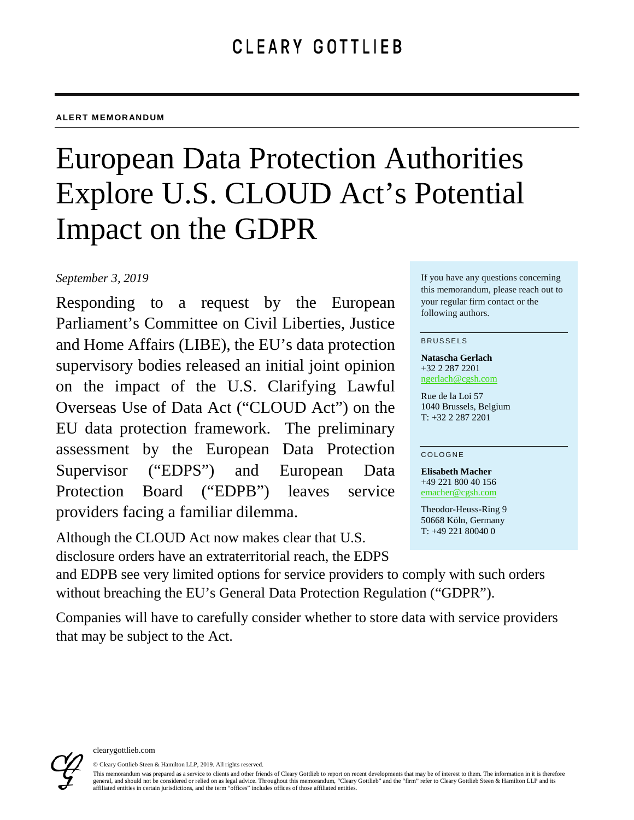#### **ALERT MEMORANDUM**

# European Data Protection Authorities Explore U.S. CLOUD Act's Potential Impact on the GDPR

## *September 3, 2019*

Responding to a request by the European Parliament's Committee on Civil Liberties, Justice and Home Affairs (LIBE), the EU's data protection supervisory bodies released an initial joint opinion on the impact of the U.S. Clarifying Lawful Overseas Use of Data Act ("CLOUD Act") on the EU data protection framework. The preliminary assessment by the European Data Protection Supervisor ("EDPS") and European Data Protection Board ("EDPB") leaves service providers facing a familiar dilemma.

Although the CLOUD Act now makes clear that U.S. disclosure orders have an extraterritorial reach, the EDPS

If you have any questions concerning this memorandum, please reach out to your regular firm contact or the following authors.

#### BRUSSELS

**Natascha Gerlach** +32 2 287 2201 [ngerlach@cgsh.com](mailto:ngerlach@cgsh.com)

Rue de la Loi 57 1040 Brussels, Belgium T: +32 2 287 2201

#### COLOGNE

**Elisabeth Macher** +49 221 800 40 156 [emacher@cgsh.com](mailto:emacher@cgsh.com)

Theodor-Heuss-Ring 9 50668 Köln, Germany T: +49 221 80040 0

and EDPB see very limited options for service providers to comply with such orders without breaching the EU's General Data Protection Regulation ("GDPR").

Companies will have to carefully consider whether to store data with service providers that may be subject to the Act.



© Cleary Gottlieb Steen & Hamilton LLP, 2019. All rights reserved. This memorandum was prepared as a service to clients and other friends of Cleary Gottlieb to report on recent developments that may be of interest to them. The information in it is therefore general, and should not be considered or relied on as legal advice. Throughout this memorandum, "Cleary Gottlieb" and the "firm" refer to Cleary Gottlieb Steen & Hamilton LLP and its affiliated entities in certain jurisdictions, and the term "offices" includes offices of those affiliated entities.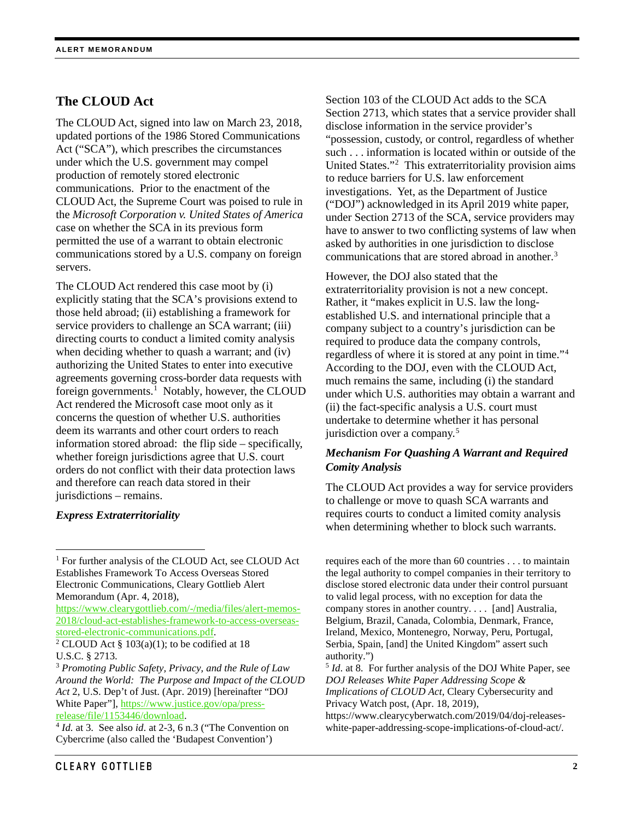# **The CLOUD Act**

The CLOUD Act, signed into law on March 23, 2018, updated portions of the 1986 Stored Communications Act ("SCA"), which prescribes the circumstances under which the U.S. government may compel production of remotely stored electronic communications. Prior to the enactment of the CLOUD Act, the Supreme Court was poised to rule in the *Microsoft Corporation v. United States of America* case on whether the SCA in its previous form permitted the use of a warrant to obtain electronic communications stored by a U.S. company on foreign servers.

The CLOUD Act rendered this case moot by (i) explicitly stating that the SCA's provisions extend to those held abroad; (ii) establishing a framework for service providers to challenge an SCA warrant; (iii) directing courts to conduct a limited comity analysis when deciding whether to quash a warrant; and (iv) authorizing the United States to enter into executive agreements governing cross-border data requests with foreign governments.<sup>[1](#page-1-0)</sup> Notably, however, the CLOUD Act rendered the Microsoft case moot only as it concerns the question of whether U.S. authorities deem its warrants and other court orders to reach information stored abroad: the flip side – specifically, whether foreign jurisdictions agree that U.S. court orders do not conflict with their data protection laws and therefore can reach data stored in their jurisdictions – remains.

## *Express Extraterritoriality*

Memorandum (Apr. 4, 2018),

[https://www.clearygottlieb.com/-/media/files/alert-memos-](https://www.clearygottlieb.com/-/media/files/alert-memos-2018/cloud-act-establishes-framework-to-access-overseas-stored-electronic-communications.pdf)[2018/cloud-act-establishes-framework-to-access-overseas](https://www.clearygottlieb.com/-/media/files/alert-memos-2018/cloud-act-establishes-framework-to-access-overseas-stored-electronic-communications.pdf)[stored-electronic-communications.pdf.](https://www.clearygottlieb.com/-/media/files/alert-memos-2018/cloud-act-establishes-framework-to-access-overseas-stored-electronic-communications.pdf)

extraterritoriality provision is not a new concept. Rather, it "makes explicit in U.S. law the longestablished U.S. and international principle that a company subject to a country's jurisdiction can be required to produce data the company controls, regardless of where it is stored at any point in time."[4](#page-1-3) According to the DOJ, even with the CLOUD Act, much remains the same, including (i) the standard under which U.S. authorities may obtain a warrant and (ii) the fact-specific analysis a U.S. court must undertake to determine whether it has personal jurisdiction over a company.<sup>[5](#page-1-2)</sup>

## *Mechanism For Quashing A Warrant and Required Comity Analysis*

Section 103 of the CLOUD Act adds to the SCA Section 2713, which states that a service provider shall

"possession, custody, or control, regardless of whether such . . . information is located within or outside of the United States."[2](#page-1-1) This extraterritoriality provision aims

disclose information in the service provider's

to reduce barriers for U.S. law enforcement investigations. Yet, as the Department of Justice ("DOJ") acknowledged in its April 2019 white paper, under Section 2713 of the SCA, service providers may have to answer to two conflicting systems of law when asked by authorities in one jurisdiction to disclose communications that are stored abroad in another. [3](#page-1-2)

However, the DOJ also stated that the

The CLOUD Act provides a way for service providers to challenge or move to quash SCA warrants and requires courts to conduct a limited comity analysis when determining whether to block such warrants.

requires each of the more than 60 countries . . . to maintain the legal authority to compel companies in their territory to disclose stored electronic data under their control pursuant to valid legal process, with no exception for data the company stores in another country. . . . [and] Australia, Belgium, Brazil, Canada, Colombia, Denmark, France, Ireland, Mexico, Montenegro, Norway, Peru, Portugal, Serbia, Spain, [and] the United Kingdom" assert such authority.")

<sup>5</sup> *Id*. at 8. For further analysis of the DOJ White Paper, see *DOJ Releases White Paper Addressing Scope & Implications of CLOUD Act*, Cleary Cybersecurity and Privacy Watch post, (Apr. 18, 2019),

https://www.clearycyberwatch.com/2019/04/doj-releaseswhite-paper-addressing-scope-implications-of-cloud-act/.

<span id="page-1-0"></span> <sup>1</sup> For further analysis of the CLOUD Act, see CLOUD Act Establishes Framework To Access Overseas Stored Electronic Communications, Cleary Gottlieb Alert

<span id="page-1-1"></span><sup>&</sup>lt;sup>2</sup> CLOUD Act § 103(a)(1); to be codified at 18 U.S.C. § 2713.

<span id="page-1-2"></span><sup>3</sup> *Promoting Public Safety, Privacy, and the Rule of Law Around the World: The Purpose and Impact of the CLOUD Act* 2, U.S. Dep't of Just. (Apr. 2019) [hereinafter "DOJ White Paper"][, https://www.justice.gov/opa/press](https://www.justice.gov/opa/press-release/file/1153446/download)[release/file/1153446/download.](https://www.justice.gov/opa/press-release/file/1153446/download) 4 *Id.* at 3. See also *id*. at 2-3, 6 n.3 ("The Convention on

<span id="page-1-3"></span>Cybercrime (also called the 'Budapest Convention')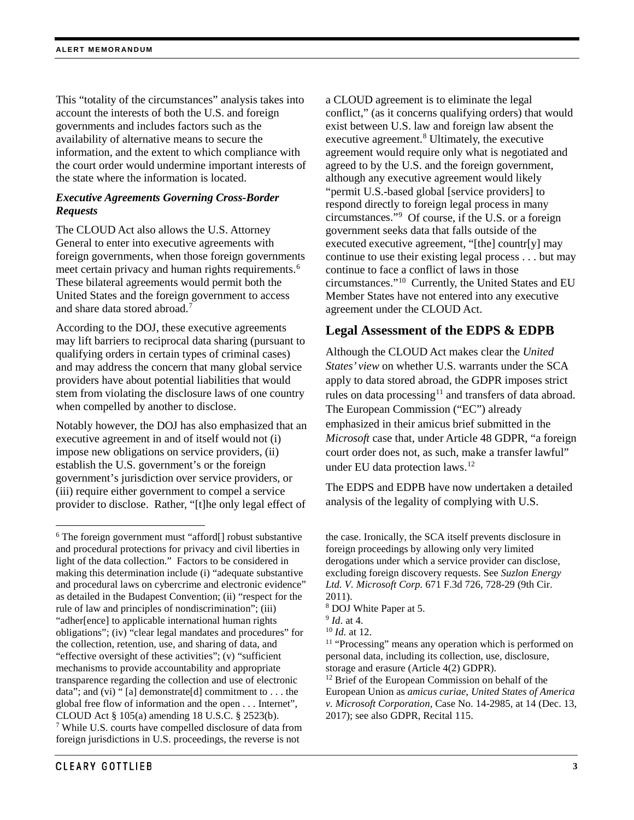This "totality of the circumstances" analysis takes into account the interests of both the U.S. and foreign governments and includes factors such as the availability of alternative means to secure the information, and the extent to which compliance with the court order would undermine important interests of the state where the information is located.

## *Executive Agreements Governing Cross-Border Requests*

The CLOUD Act also allows the U.S. Attorney General to enter into executive agreements with foreign governments, when those foreign governments meet certain privacy and human rights requirements.<sup>[6](#page-2-0)</sup> These bilateral agreements would permit both the United States and the foreign government to access and share data stored abroad. [7](#page-2-1)

According to the DOJ, these executive agreements may lift barriers to reciprocal data sharing (pursuant to qualifying orders in certain types of criminal cases) and may address the concern that many global service providers have about potential liabilities that would stem from violating the disclosure laws of one country when compelled by another to disclose.

Notably however, the DOJ has also emphasized that an executive agreement in and of itself would not (i) impose new obligations on service providers, (ii) establish the U.S. government's or the foreign government's jurisdiction over service providers, or (iii) require either government to compel a service provider to disclose. Rather, "[t]he only legal effect of a CLOUD agreement is to eliminate the legal conflict," (as it concerns qualifying orders) that would exist between U.S. law and foreign law absent the executive agreement. [8](#page-2-2) Ultimately, the executive agreement would require only what is negotiated and agreed to by the U.S. and the foreign government, although any executive agreement would likely "permit U.S.-based global [service providers] to respond directly to foreign legal process in many circumstances."[9](#page-2-3) Of course, if the U.S. or a foreign government seeks data that falls outside of the executed executive agreement, "[the] countr[y] may continue to use their existing legal process . . . but may continue to face a conflict of laws in those circumstances."[10](#page-2-4) Currently, the United States and EU Member States have not entered into any executive agreement under the CLOUD Act.

## **Legal Assessment of the EDPS & EDPB**

Although the CLOUD Act makes clear the *United States' view* on whether U.S. warrants under the SCA apply to data stored abroad, the GDPR imposes strict rules on data processing<sup>[11](#page-2-5)</sup> and transfers of data abroad. The European Commission ("EC") already emphasized in their amicus brief submitted in the *Microsoft* case that, under Article 48 GDPR, "a foreign court order does not, as such, make a transfer lawful" under EU data protection laws. [12](#page-2-6)

The EDPS and EDPB have now undertaken a detailed analysis of the legality of complying with U.S.

<span id="page-2-6"></span><span id="page-2-5"></span><span id="page-2-4"></span><span id="page-2-3"></span><span id="page-2-2"></span><span id="page-2-1"></span><span id="page-2-0"></span><sup>&</sup>lt;sup>6</sup> The foreign government must "afford<sup>[]</sup> robust substantive and procedural protections for privacy and civil liberties in light of the data collection." Factors to be considered in making this determination include (i) "adequate substantive and procedural laws on cybercrime and electronic evidence" as detailed in the Budapest Convention; (ii) "respect for the rule of law and principles of nondiscrimination"; (iii) "adher[ence] to applicable international human rights obligations"; (iv) "clear legal mandates and procedures" for the collection, retention, use, and sharing of data, and "effective oversight of these activities"; (v) "sufficient mechanisms to provide accountability and appropriate transparence regarding the collection and use of electronic data"; and (vi) " [a] demonstrate[d] commitment to . . . the global free flow of information and the open . . . Internet", CLOUD Act § 105(a) amending 18 U.S.C. § 2523(b).<br><sup>7</sup> While U.S. courts have compelled disclosure of data from foreign jurisdictions in U.S. proceedings, the reverse is not

the case. Ironically, the SCA itself prevents disclosure in foreign proceedings by allowing only very limited derogations under which a service provider can disclose, excluding foreign discovery requests. See *Suzlon Energy Ltd. V. Microsoft Corp.* 671 F.3d 726, 728-29 (9th Cir. 2011).

 $8$  DOJ White Paper at 5.<br> $9$  *Id.* at 4.

<sup>&</sup>lt;sup>10</sup> *Id.* at 12. <sup>11</sup> "Processing" means any operation which is performed on personal data, including its collection, use, disclosure, storage and erasure (Article 4(2) GDPR).<br><sup>12</sup> Brief of the European Commission on behalf of the

European Union as *amicus curiae*, *United States of America v. Microsoft Corporation,* Case No. 14-2985, at 14 (Dec. 13, 2017); see also GDPR, Recital 115.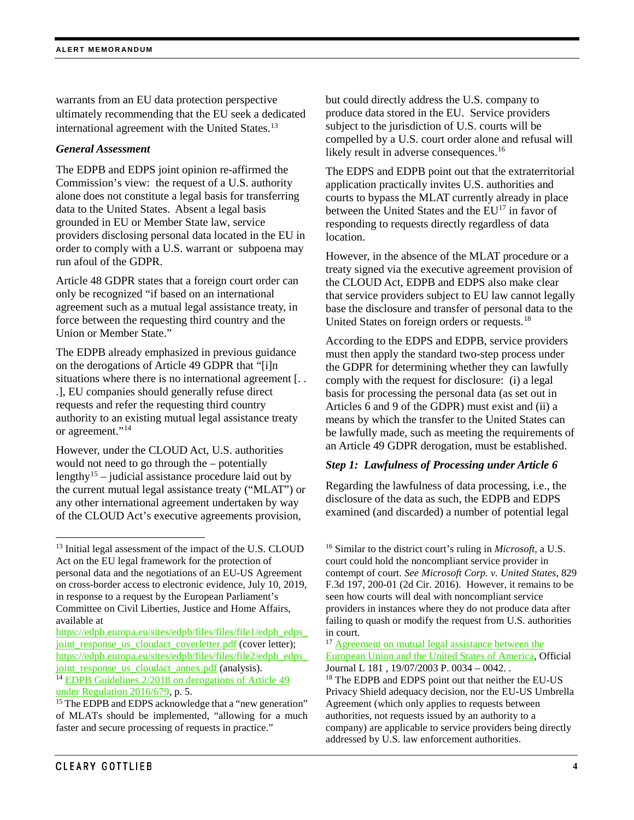warrants from an EU data protection perspective ultimately recommending that the EU seek a dedicated international agreement with the United States.<sup>[13](#page-3-0)</sup>

#### *General Assessment*

The EDPB and EDPS joint opinion re-affirmed the Commission's view: the request of a U.S. authority alone does not constitute a legal basis for transferring data to the United States. Absent a legal basis grounded in EU or Member State law, service providers disclosing personal data located in the EU in order to comply with a U.S. warrant or subpoena may run afoul of the GDPR.

Article 48 GDPR states that a foreign court order can only be recognized "if based on an international agreement such as a mutual legal assistance treaty, in force between the requesting third country and the Union or Member State."

The EDPB already emphasized in previous guidance on the derogations of Article 49 GDPR that "[i]n situations where there is no international agreement [...] .], EU companies should generally refuse direct requests and refer the requesting third country authority to an existing mutual legal assistance treaty or agreement."[14](#page-3-1)

However, under the CLOUD Act, U.S. authorities would not need to go through the – potentially lengthy<sup>15</sup> – judicial assistance procedure laid out by the current mutual legal assistance treaty ("MLAT") or any other international agreement undertaken by way of the CLOUD Act's executive agreements provision,

<span id="page-3-1"></span>[under Regulation 2016/679,](https://edpb.europa.eu/sites/edpb/files/files/file1/edpb_guidelines_2_2018_derogations_en.pdf) p. 5.

but could directly address the U.S. company to produce data stored in the EU. Service providers subject to the jurisdiction of U.S. courts will be compelled by a U.S. court order alone and refusal will likely result in adverse consequences.<sup>[16](#page-3-0)</sup>

The EDPS and EDPB point out that the extraterritorial application practically invites U.S. authorities and courts to bypass the MLAT currently already in place between the United States and the EU<sup>[17](#page-3-3)</sup> in favor of responding to requests directly regardless of data location.

However, in the absence of the MLAT procedure or a treaty signed via the executive agreement provision of the CLOUD Act, EDPB and EDPS also make clear that service providers subject to EU law cannot legally base the disclosure and transfer of personal data to the United States on foreign orders or requests.[18](#page-3-1)

According to the EDPS and EDPB, service providers must then apply the standard two-step process under the GDPR for determining whether they can lawfully comply with the request for disclosure: (i) a legal basis for processing the personal data (as set out in Articles 6 and 9 of the GDPR) must exist and (ii) a means by which the transfer to the United States can be lawfully made, such as meeting the requirements of an Article 49 GDPR derogation, must be established.

## *Step 1: Lawfulness of Processing under Article 6*

Regarding the lawfulness of data processing, i.e., the disclosure of the data as such, the EDPB and EDPS examined (and discarded) a number of potential legal

<sup>16</sup> Similar to the district court's ruling in *Microsoft*, a U.S. court could hold the noncompliant service provider in contempt of court. *See Microsoft Corp. v. United States*, 829 F.3d 197, 200-01 (2d Cir. 2016). However, it remains to be seen how courts will deal with noncompliant service providers in instances where they do not produce data after failing to quash or modify the request from U.S. authorities in court.

<sup>17</sup> Agreement on mutual legal assistance between the [European Union and the United States of America,](https://edpb.europa.eu/sites/edpb/files/files/file2/edpb_edps_joint_response_us_cloudact_annex.pdfhttps:/eur-lex.europa.eu/legal-content/EN/TXT/?uri=celex:22003A0719(02)) Official Journal L 181, 19/07/2003 P. 0034 – 0042.

<span id="page-3-0"></span><sup>&</sup>lt;sup>13</sup> Initial legal assessment of the impact of the U.S. CLOUD Act on the EU legal framework for the protection of personal data and the negotiations of an EU-US Agreement on cross-border access to electronic evidence, July 10, 2019, in response to a request by the European Parliament's Committee on Civil Liberties, Justice and Home Affairs, available at

<span id="page-3-3"></span>[https://edpb.europa.eu/sites/edpb/files/files/file1/edpb\\_edps\\_](https://edpb.europa.eu/sites/edpb/files/files/file1/edpb_edps_joint_response_us_cloudact_coverletter.pdf) [joint\\_response\\_us\\_cloudact\\_coverletter.pdf](https://edpb.europa.eu/sites/edpb/files/files/file1/edpb_edps_joint_response_us_cloudact_coverletter.pdf) (cover letter); [https://edpb.europa.eu/sites/edpb/files/files/file2/edpb\\_edps\\_](https://edpb.europa.eu/sites/edpb/files/files/file2/edpb_edps_joint_response_us_cloudact_annex.pdf) [joint\\_response\\_us\\_cloudact\\_annex.pdf](https://edpb.europa.eu/sites/edpb/files/files/file2/edpb_edps_joint_response_us_cloudact_annex.pdf) (analysis). <sup>14</sup> EDP<u>B Guidelines 2/2018 on derogations of Article 49</u>

<span id="page-3-2"></span><sup>&</sup>lt;sup>15</sup> The EDPB and EDPS acknowledge that a "new generation" of MLATs should be implemented, "allowing for a much faster and secure processing of requests in practice."

<sup>&</sup>lt;sup>18</sup> The EDPB and EDPS point out that neither the EU-US Privacy Shield adequacy decision, nor the EU-US Umbrella Agreement (which only applies to requests between authorities, not requests issued by an authority to a company) are applicable to service providers being directly addressed by U.S. law enforcement authorities.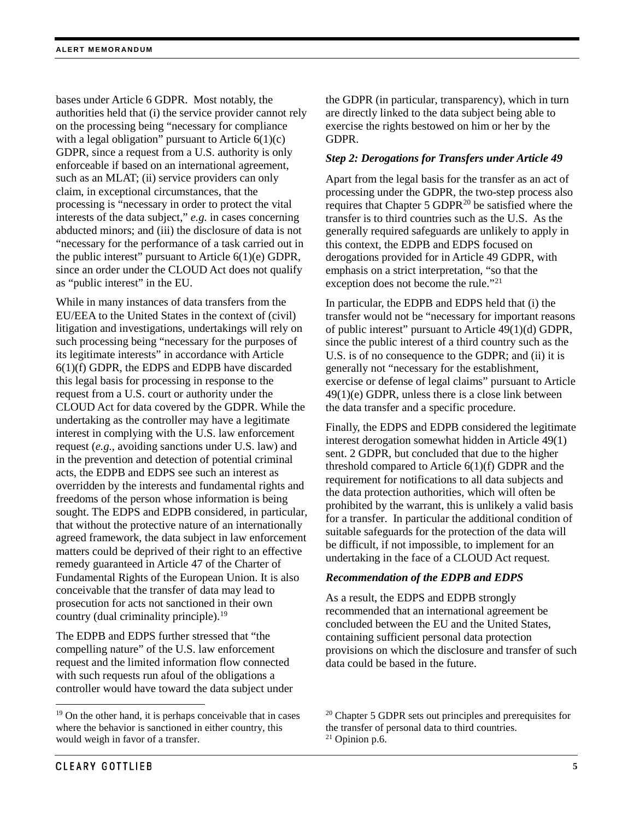bases under Article 6 GDPR. Most notably, the authorities held that (i) the service provider cannot rely on the processing being "necessary for compliance with a legal obligation" pursuant to Article  $6(1)(c)$ GDPR, since a request from a U.S. authority is only enforceable if based on an international agreement, such as an MLAT; (ii) service providers can only claim, in exceptional circumstances, that the processing is "necessary in order to protect the vital interests of the data subject," *e.g.* in cases concerning abducted minors; and (iii) the disclosure of data is not "necessary for the performance of a task carried out in the public interest" pursuant to Article 6(1)(e) GDPR, since an order under the CLOUD Act does not qualify as "public interest" in the EU.

While in many instances of data transfers from the EU/EEA to the United States in the context of (civil) litigation and investigations, undertakings will rely on such processing being "necessary for the purposes of its legitimate interests" in accordance with Article 6(1)(f) GDPR, the EDPS and EDPB have discarded this legal basis for processing in response to the request from a U.S. court or authority under the CLOUD Act for data covered by the GDPR. While the undertaking as the controller may have a legitimate interest in complying with the U.S. law enforcement request (*e.g.*, avoiding sanctions under U.S. law) and in the prevention and detection of potential criminal acts, the EDPB and EDPS see such an interest as overridden by the interests and fundamental rights and freedoms of the person whose information is being sought. The EDPS and EDPB considered, in particular, that without the protective nature of an internationally agreed framework, the data subject in law enforcement matters could be deprived of their right to an effective remedy guaranteed in Article 47 of the Charter of Fundamental Rights of the European Union. It is also conceivable that the transfer of data may lead to prosecution for acts not sanctioned in their own country (dual criminality principle).[19](#page-4-0) 

The EDPB and EDPS further stressed that "the compelling nature" of the U.S. law enforcement request and the limited information flow connected with such requests run afoul of the obligations a controller would have toward the data subject under the GDPR (in particular, transparency), which in turn are directly linked to the data subject being able to exercise the rights bestowed on him or her by the GDPR.

## *Step 2: Derogations for Transfers under Article 49*

Apart from the legal basis for the transfer as an act of processing under the GDPR, the two-step process also requires that Chapter  $5$  GDPR $^{20}$  $^{20}$  $^{20}$  be satisfied where the transfer is to third countries such as the U.S. As the generally required safeguards are unlikely to apply in this context, the EDPB and EDPS focused on derogations provided for in Article 49 GDPR, with emphasis on a strict interpretation, "so that the exception does not become the rule."<sup>[21](#page-4-1)</sup>

In particular, the EDPB and EDPS held that (i) the transfer would not be "necessary for important reasons of public interest" pursuant to Article 49(1)(d) GDPR, since the public interest of a third country such as the U.S. is of no consequence to the GDPR; and (ii) it is generally not "necessary for the establishment, exercise or defense of legal claims" pursuant to Article 49(1)(e) GDPR, unless there is a close link between the data transfer and a specific procedure.

Finally, the EDPS and EDPB considered the legitimate interest derogation somewhat hidden in Article 49(1) sent. 2 GDPR, but concluded that due to the higher threshold compared to Article 6(1)(f) GDPR and the requirement for notifications to all data subjects and the data protection authorities, which will often be prohibited by the warrant, this is unlikely a valid basis for a transfer. In particular the additional condition of suitable safeguards for the protection of the data will be difficult, if not impossible, to implement for an undertaking in the face of a CLOUD Act request.

## *Recommendation of the EDPB and EDPS*

As a result, the EDPS and EDPB strongly recommended that an international agreement be concluded between the EU and the United States, containing sufficient personal data protection provisions on which the disclosure and transfer of such data could be based in the future.

<span id="page-4-1"></span><span id="page-4-0"></span><sup>&</sup>lt;sup>19</sup> On the other hand, it is perhaps conceivable that in cases where the behavior is sanctioned in either country, this would weigh in favor of a transfer.

<sup>20</sup> Chapter 5 GDPR sets out principles and prerequisites for the transfer of personal data to third countries. <sup>21</sup> Opinion p.6.